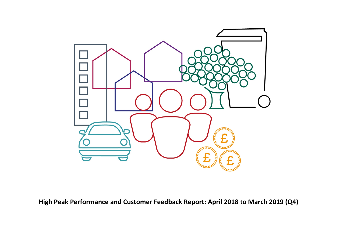

**High Peak Performance and Customer Feedback Report: April 2018 to March 2019 (Q4)**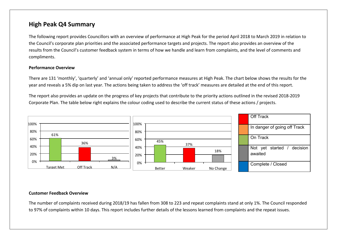## **High Peak Q4 Summary**

The following report provides Councillors with an overview of performance at High Peak for the period April 2018 to March 2019 in relation to the Council's corporate plan priorities and the associated performance targets and projects. The report also provides an overview of the results from the Council's customer feedback system in terms of how we handle and learn from complaints, and the level of comments and compliments.

#### **Performance Overview**

There are 131 'monthly', 'quarterly' and 'annual only' reported performance measures at High Peak. The chart below shows the results for the year and reveals a 5% dip on last year. The actions being taken to address the 'off track' measures are detailed at the end of this report.

The report also provides an update on the progress of key projects that contribute to the priority actions outlined in the revised 2018-2019 Corporate Plan. The table below right explains the colour coding used to describe the current status of these actions / projects.



#### **Customer Feedback Overview**

The number of complaints received during 2018/19 has fallen from 308 to 223 and repeat complaints stand at only 1%. The Council responded to 97% of complaints within 10 days. This report includes further details of the lessons learned from complaints and the repeat issues.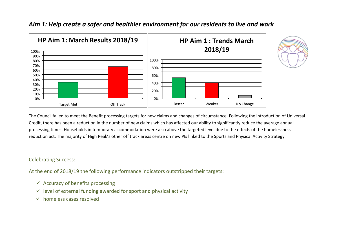

### *Aim 1: Help create a safer and healthier environment for our residents to live and work*

The Council failed to meet the Benefit processing targets for new claims and changes of circumstance. Following the introduction of Universal Credit, there has been a reduction in the number of new claims which has affected our ability to significantly reduce the average annual processing times. Households in temporary accommodation were also above the targeted level due to the effects of the homelessness reduction act. The majority of High Peak's other off track areas centre on new PIs linked to the Sports and Physical Activity Strategy.

#### Celebrating Success:

At the end of 2018/19 the following performance indicators outstripped their targets:

- $\checkmark$  Accuracy of benefits processing
- $\checkmark$  level of external funding awarded for sport and physical activity
- $\checkmark$  homeless cases resolved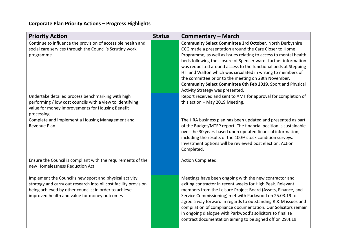# **Corporate Plan Priority Actions – Progress Highlights**

| <b>Priority Action</b>                                                                                                                                                                                                               | <b>Status</b> | <b>Commentary – March</b>                                                                                                                                                                                                                                                                                                                                                                                                                                                                                                                               |
|--------------------------------------------------------------------------------------------------------------------------------------------------------------------------------------------------------------------------------------|---------------|---------------------------------------------------------------------------------------------------------------------------------------------------------------------------------------------------------------------------------------------------------------------------------------------------------------------------------------------------------------------------------------------------------------------------------------------------------------------------------------------------------------------------------------------------------|
| Continue to influence the provision of accessible health and<br>social care services through the Council's Scrutiny work<br>programme                                                                                                |               | Community Select Committee 3rd October. North Derbyshire<br>CCG made a presentation around the Care Closer to Home<br>Programme, as well as issues relating to access to mental health<br>beds following the closure of Spencer ward- further information<br>was requested around access to the functional beds at Stepping<br>Hill and Walton which was circulated in writing to members of<br>the committee prior to the meeting on 28th November.<br>Community Select Committee 6th Feb 2019. Sport and Physical<br>Activity Strategy was presented. |
| Undertake detailed process benchmarking with high<br>performing / low cost councils with a view to identifying<br>value for money improvements for Housing Benefit<br>processing                                                     |               | Report received and sent to AMT for approval for completion of<br>this action - May 2019 Meeting.                                                                                                                                                                                                                                                                                                                                                                                                                                                       |
| Complete and implement a Housing Management and<br>Revenue Plan                                                                                                                                                                      |               | The HRA business plan has been updated and presented as part<br>of the Budget/MTFP report. The financial position is sustainable<br>over the 30 years based upon updated financial information,<br>including the results of the 100% stock condition surveys.<br>Investment options will be reviewed post election. Action<br>Completed.                                                                                                                                                                                                                |
| Ensure the Council is compliant with the requirements of the<br>new Homelessness Reduction Act                                                                                                                                       |               | Action Completed.                                                                                                                                                                                                                                                                                                                                                                                                                                                                                                                                       |
| Implement the Council's new sport and physical activity<br>strategy and carry out research into nil cost facility provision<br>being achieved by other councils; in order to achieve<br>improved health and value for money outcomes |               | Meetings have been ongoing with the new contractor and<br>exiting contractor in recent weeks for High Peak. Relevant<br>members from the Leisure Project Board (Assets, Finance, and<br>Service Commissioning) met with Parkwood on 25.03.19 to<br>agree a way forward in regards to outstanding R & M issues and<br>compilation of compliance documentation. Our Solicitors remain<br>in ongoing dialogue with Parkwood's solicitors to finalise<br>contract documentation aiming to be signed off on 29.4.19                                          |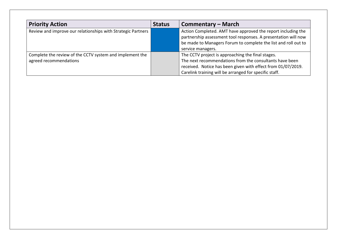| <b>Priority Action</b>                                                             | <b>Status</b> | Commentary – March                                                                                                                                                                                                                     |
|------------------------------------------------------------------------------------|---------------|----------------------------------------------------------------------------------------------------------------------------------------------------------------------------------------------------------------------------------------|
| Review and improve our relationships with Strategic Partners                       |               | Action Completed. AMT have approved the report including the<br>partnership assessment tool responses. A presentation will now<br>be made to Managers Forum to complete the list and roll out to<br>service managers.                  |
| Complete the review of the CCTV system and implement the<br>agreed recommendations |               | The CCTV project is approaching the final stages.<br>The next recommendations from the consultants have been<br>received. Notice has been given with effect from 01/07/2019.<br>Carelink training will be arranged for specific staff. |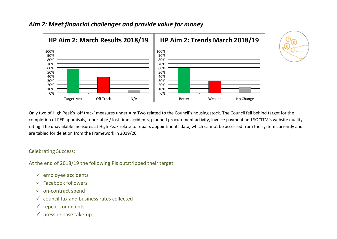### *Aim 2: Meet financial challenges and provide value for money*





Only two of High Peak's 'off track' measures under Aim Two related to the Council's housing stock. The Council fell behind target for the completion of PEP appraisals, reportable / lost time accidents, planned procurement activity, invoice payment and SOCITM's website quality rating. The unavailable measures at High Peak relate to repairs appointments data, which cannot be accessed from the system currently and are tabled for deletion from the Framework in 2019/20.

#### Celebrating Success:

At the end of 2018/19 the following PIs outstripped their target:

- $\checkmark$  employee accidents
- $\checkmark$  Facebook followers
- $\checkmark$  on-contract spend
- $\checkmark$  council tax and business rates collected
- $\checkmark$  repeat complaints
- $\checkmark$  press release take-up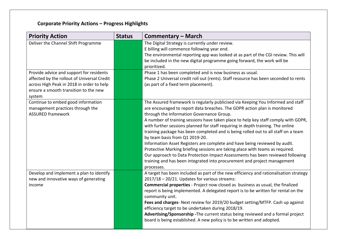# **Corporate Priority Actions – Progress Highlights**

| <b>Priority Action</b>                                                                                                                                                                  | <b>Status</b> | <b>Commentary - March</b>                                                                                                                                                                                                                                                                                                                                                                                                                                                                                                                                                                                                                                                                                                                                                                                                                              |
|-----------------------------------------------------------------------------------------------------------------------------------------------------------------------------------------|---------------|--------------------------------------------------------------------------------------------------------------------------------------------------------------------------------------------------------------------------------------------------------------------------------------------------------------------------------------------------------------------------------------------------------------------------------------------------------------------------------------------------------------------------------------------------------------------------------------------------------------------------------------------------------------------------------------------------------------------------------------------------------------------------------------------------------------------------------------------------------|
| Deliver the Channel Shift Programme                                                                                                                                                     |               | The Digital Strategy is currently under review.<br>E billing will commence following year end.<br>The environmental reporting app was looked at as part of the CGI review. This will<br>be included in the new digital programme going forward, the work will be<br>prioritized.                                                                                                                                                                                                                                                                                                                                                                                                                                                                                                                                                                       |
| Provide advice and support for residents<br>affected by the rollout of Universal Credit<br>across High Peak in 2018 in order to help<br>ensure a smooth transition to the new<br>system |               | Phase 1 has been completed and is now business as usual.<br>Phase 2 Universal credit roll out (rents). Staff resource has been seconded to rents<br>(as part of a fixed term placement).                                                                                                                                                                                                                                                                                                                                                                                                                                                                                                                                                                                                                                                               |
| Continue to embed good information<br>management practices through the<br><b>ASSURED framework</b>                                                                                      |               | The Assured framework is regularly publicised via Keeping You Informed and staff<br>are encouraged to report data breaches. The GDPR action plan is monitored<br>through the Information Governance Group.<br>A number of training sessions have taken place to help key staff comply with GDPR,<br>with further sessions planned for staff requiring in depth training. The online<br>training package has been completed and is being rolled out to all staff on a team<br>by team basis from Q1 2019-20.<br>Information Asset Registers are complete and have being reviewed by audit.<br>Protective Marking briefing sessions are taking place with teams as required.<br>Our approach to Data Protection Impact Assessments has been reviewed following<br>training and has been integrated into procurement and project management<br>processes. |
| Develop and implement a plan to identify<br>new and innovative ways of generating<br>income                                                                                             |               | A target has been included as part of the new efficiency and rationalisation strategy<br>2017/18 - 20/21. Updates for various streams:<br><b>Commercial properties</b> - Project now closed as business as usual, the finalized<br>report is being implemented. A delegated report is to be written for rental on the<br>community unit.<br>Fees and charges- Next review for 2019/20 budget setting/MTFP. Cash up against<br>efficiency target to be undertaken during 2018/19.<br>Advertising/Sponsorship - The current status being reviewed and a formal project<br>board is being established. A new policy is to be written and adopted.                                                                                                                                                                                                         |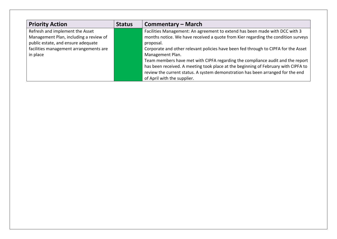| <b>Priority Action</b>                                                                                                                                                | <b>Status</b> | Commentary – March                                                                                                                                                                                                                                                                                                                                                                                                                                                                                                                                                                |
|-----------------------------------------------------------------------------------------------------------------------------------------------------------------------|---------------|-----------------------------------------------------------------------------------------------------------------------------------------------------------------------------------------------------------------------------------------------------------------------------------------------------------------------------------------------------------------------------------------------------------------------------------------------------------------------------------------------------------------------------------------------------------------------------------|
| Refresh and implement the Asset<br>Management Plan, including a review of<br>public estate, and ensure adequate<br>facilities management arrangements are<br>in place |               | Facilities Management: An agreement to extend has been made with DCC with 3<br>months notice. We have received a quote from Kier regarding the condition surveys<br>proposal.<br>Corporate and other relevant policies have been fed through to CIPFA for the Asset<br>Management Plan.<br>Team members have met with CIPFA regarding the compliance audit and the report<br>has been received. A meeting took place at the beginning of February with CIPFA to<br>review the current status. A system demonstration has been arranged for the end<br>of April with the supplier. |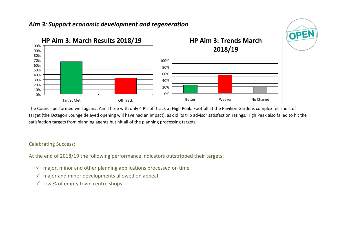## *Aim 3: Support economic development and regeneration*



The Council performed well against Aim Three with only 4 PIs off track at High Peak. Footfall at the Pavilion Gardens complex fell short of target (the Octagon Lounge delayed opening will have had an impact), as did its trip advisor satisfaction ratings. High Peak also failed to hit the satisfaction targets from planning agents but hit all of the planning processing targets.

### Celebrating Success:

At the end of 2018/19 the following performance indicators outstripped their targets:

- $\checkmark$  major, minor and other planning applications processed on time
- $\checkmark$  major and minor developments allowed on appeal
- $\checkmark$  low % of empty town centre shops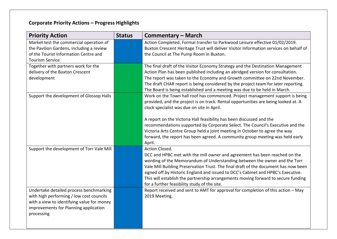# **Corporate Priority Actions – Progress Highlights**

| <b>Priority Action</b>                     | <b>Status</b> | <b>Commentary – March</b>                                                               |
|--------------------------------------------|---------------|-----------------------------------------------------------------------------------------|
| Market test the commercial operation of    |               | Action Completed. Formal transfer to Parkwood Leisure effective 01/02/2019.             |
| the Pavilion Gardens, including a review   |               | Buxton Crescent Heritage Trust will deliver Visitor Information services on behalf of   |
| of the Tourist Information Centre and      |               | the Council at The Pump Room in Buxton.                                                 |
| <b>Tourism Service</b>                     |               |                                                                                         |
| Together with partners work for the        |               | The final draft of the Visitor Economy Strategy and the Destination Management          |
| delivery of the Buxton Crescent            |               | Action Plan has been published including an abridged version for consultation.          |
| development                                |               | The report was taken to the Economy and Growth committee on 22nd November.              |
|                                            |               | The draft CHAR report is being considered by the project team for later reporting.      |
|                                            |               | The Board is being established and a meeting was due to be held in March.               |
| Support the development of Glossop Halls   |               | Work on the Town hall roof has commenced. Project management support is being           |
|                                            |               | provided, and the project is on track. Rental opportunities are being looked at. A      |
|                                            |               | clock specialist was due on site in April.                                              |
|                                            |               |                                                                                         |
|                                            |               | A report on the Victoria Hall feasibility has been discussed and the                    |
|                                            |               | recommendations supported by Corporate Select. The Council's Executive and the          |
|                                            |               | Victoria Arts Centre Group held a joint meeting in October to agree the way             |
|                                            |               | forward, the report has been agreed. A community group meeting was held early<br>April. |
| Support the development of Torr Vale Mill  |               | Action Closed.                                                                          |
|                                            |               | DCC and HPBC met with the mill owner and agreement has been reached on the              |
|                                            |               | wording of the Memorandum of Understanding between the owner and the Torr               |
|                                            |               | Vale Mill Building Preservation Trust. The final draft of the document has now been     |
|                                            |               | signed off by Historic England and issued to DCC's Cabinet and HPBC's Executive.        |
|                                            |               | This will establish the partnership arrangements moving forward to secure funding       |
|                                            |               | for a further feasibility study of the site.                                            |
| Undertake detailed process benchmarking    |               | Report received and sent to AMT for approval for completion of this action - May        |
| with high performing / low cost councils   |               | 2019 Meeting.                                                                           |
| with a view to identifying value for money |               |                                                                                         |
| improvements for Planning application      |               |                                                                                         |
| processing                                 |               |                                                                                         |
|                                            |               |                                                                                         |
|                                            |               |                                                                                         |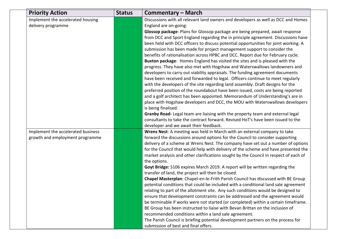| <b>Priority Action</b>             | <b>Status</b> | <b>Commentary - March</b>                                                                                                                                        |
|------------------------------------|---------------|------------------------------------------------------------------------------------------------------------------------------------------------------------------|
| Implement the accelerated housing  |               | Discussions with all relevant land owners and developers as well as DCC and Homes                                                                                |
| delivery programme                 |               | England are on-going:                                                                                                                                            |
|                                    |               | Glossop package: Plans for Glossop package are being prepared, await response                                                                                    |
|                                    |               | from DCC and Sport England regarding the in principle agreement. Discussions have                                                                                |
|                                    |               | been held with DCC officers to discuss potential opportunities for joint working. A                                                                              |
|                                    |               | submission has been made for project management support to consider the                                                                                          |
|                                    |               | benefits of rationalisation across HPBC and DCC. Report due for February cycle.                                                                                  |
|                                    |               | Buxton package: Homes England has visited the sites and is pleased with the                                                                                      |
|                                    |               | progress. They have also met with Hogshaw and Waterswallows landowners and                                                                                       |
|                                    |               | developers to carry out viability appraisals. The funding agreement documents                                                                                    |
|                                    |               | have been received and forwarded to legal. Officers continue to meet regularly                                                                                   |
|                                    |               | with the developers of the site regarding land assembly. Draft designs for the                                                                                   |
|                                    |               | preferred position of the roundabout have been issued, costs are being reported<br>and a golf architect has been appointed. Memorandum of Understanding's are in |
|                                    |               | place with Hogshaw developers and DCC, the MOU with Waterswallows developers                                                                                     |
|                                    |               | is being finalised.                                                                                                                                              |
|                                    |               | Granby Road- Legal team are liaising with the property team and external legal                                                                                   |
|                                    |               | consultants to take the contract forward. Revised HoT's have been issued to the                                                                                  |
|                                    |               | developer and we await their feedback.                                                                                                                           |
| Implement the accelerated business |               | Wrens Nest: A meeting was held in March with an external company to take                                                                                         |
| growth and employment programme    |               | forward the discussions around options for the Council to consider supporting                                                                                    |
|                                    |               | delivery of a scheme at Wrens Nest. The company have set out a number of options                                                                                 |
|                                    |               | for the Council that would help with delivery of the scheme and have presented the                                                                               |
|                                    |               | market analysis and other clarifications sought by the Council in respect of each of                                                                             |
|                                    |               | the options.                                                                                                                                                     |
|                                    |               | Goyt Bridge: S106 expires March 2019. A report will be written regarding the                                                                                     |
|                                    |               | transfer of land, the project will then be closed.                                                                                                               |
|                                    |               | Chapel Masterplan: Chapel-en-le-Frith Parish Council has discussed with BE Group                                                                                 |
|                                    |               | potential conditions that could be included with a conditional land sale agreement                                                                               |
|                                    |               | relating to part of the allotment site. Any such conditions would be designed to                                                                                 |
|                                    |               | ensure that development constraints can be addressed and the agreement would                                                                                     |
|                                    |               | be terminable if works were not started (or completed) within a certain timeframe.                                                                               |
|                                    |               | BE Group has been instructed to liaise with Bevan Brittan on the inclusion of                                                                                    |
|                                    |               | recommended conditions within a land sale agreement.                                                                                                             |
|                                    |               | The Parish Council is briefing potential development partners on the process for<br>submission of best and final offers.                                         |
|                                    |               |                                                                                                                                                                  |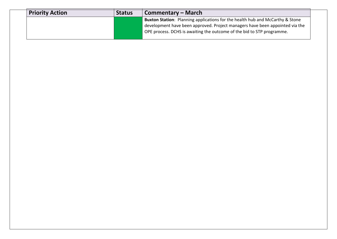| <b>Priority Action</b> | <b>Status</b> | <b>Commentary – March</b>                                                                                                                                     |  |  |  |  |
|------------------------|---------------|---------------------------------------------------------------------------------------------------------------------------------------------------------------|--|--|--|--|
|                        |               | Buxton Station: Planning applications for the health hub and McCarthy & Stone<br>development have been approved. Project managers have been appointed via the |  |  |  |  |
|                        |               | OPE process. DCHS is awaiting the outcome of the bid to STP programme.                                                                                        |  |  |  |  |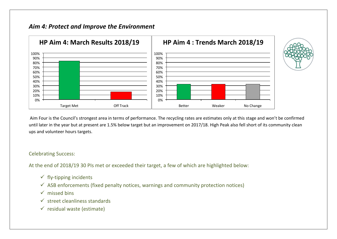## *Aim 4: Protect and Improve the Environment*



Aim Four is the Council's strongest area in terms of performance. The recycling rates are estimates only at this stage and won't be confirmed until later in the year but at present are 1.5% below target but an improvement on 2017/18. High Peak also fell short of its community clean ups and volunteer hours targets.

#### Celebrating Success:

At the end of 2018/19 30 PIs met or exceeded their target, a few of which are highlighted below:

- $\checkmark$  fly-tipping incidents
- $\checkmark$  ASB enforcements (fixed penalty notices, warnings and community protection notices)
- $\checkmark$  missed bins
- $\checkmark$  street cleanliness standards
- $\checkmark$  residual waste (estimate)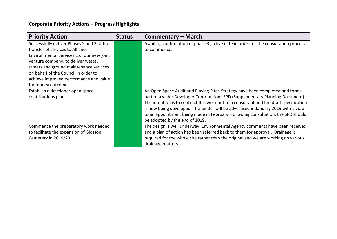# **Corporate Priority Actions – Progress Highlights**

| <b>Priority Action</b>                     | <b>Status</b> | Commentary – March                                                                     |
|--------------------------------------------|---------------|----------------------------------------------------------------------------------------|
| Successfully deliver Phases 2 and 3 of the |               | Awaiting confirmation of phase 3 go live date in order for the consultation process    |
| transfer of services to Alliance           |               | to commence.                                                                           |
| Environmental Services Ltd, our new joint  |               |                                                                                        |
| venture company, to deliver waste,         |               |                                                                                        |
| streets and ground maintenance services    |               |                                                                                        |
| on behalf of the Council in order to       |               |                                                                                        |
| achieve improved performance and value     |               |                                                                                        |
| for money outcomes.                        |               |                                                                                        |
| Establish a developer open space           |               | An Open Space Audit and Playing Pitch Strategy have been completed and forms           |
| contributions plan                         |               | part of a wider Developer Contributions SPD (Supplementary Planning Document).         |
|                                            |               | The intention is to contract this work out to a consultant and the draft specification |
|                                            |               | is now being developed. The tender will be advertised in January 2019 with a view      |
|                                            |               | to an appointment being made in February. Following consultation, the SPD should       |
|                                            |               | be adopted by the end of 2019.                                                         |
| Commence the preparatory work needed       |               | The design is well underway, Environmental Agency comments have been received          |
| to facilitate the expansion of Glossop     |               | and a plan of action has been referred back to them for approval. Drainage is          |
| Cemetery in 2019/20                        |               | required for the whole site rather than the original and we are working on various     |
|                                            |               | drainage matters.                                                                      |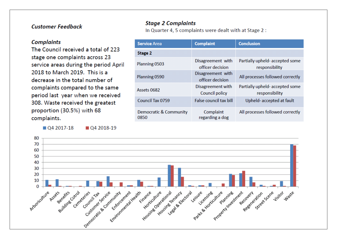### **Customer Feedback**

#### **Complaints**

The Council received a total of 223 stage one complaints across 23 service areas during the period April 2018 to March 2019. This is a decrease in the total number of complaints compared to the same period last year when we received 308. Waste received the greatest proportion (30.5%) with 68 complaints.

04 2017-18

04 2018-19

### **Stage 2 Complaints**

In Quarter 4, 5 complaints were dealt with at Stage 2 :

| <b>Service Area</b>            | <b>Complaint</b>                      | <b>Conclusion</b>                                |  |
|--------------------------------|---------------------------------------|--------------------------------------------------|--|
| Stage 2                        |                                       |                                                  |  |
| Planning 0503                  | Disagreement with<br>officer decision | Partially upheld-accepted some<br>responsibility |  |
| Planning 0590                  | Disagreement with<br>officer decision | All processes followed correctly                 |  |
| Assets 0682                    | Disagreement with<br>Council policy   | Partially upheld-accepted some<br>responsibility |  |
| Council Tax 0759               | False council tax bill                | Upheld-accepted at fault                         |  |
| Democratic & Community<br>0850 | Complaint<br>regarding a dog          | All processes followed correctly                 |  |

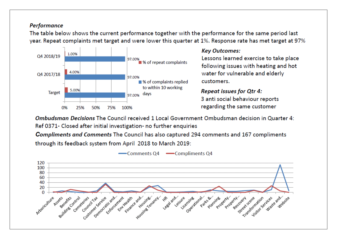### **Performance**

The table below shows the current performance together with the performance for the same period last year. Repeat complaints met target and were lower this quarter at 1%. Response rate has met target at 97%



### **Key Outcomes:**

Lessons learned exercise to take place following issues with heating and hot water for vulnerable and elderly customers.

### **Repeat issues for Otr 4:** 3 anti social behaviour reports regarding the same customer

Ombudsman Decisions The Council received 1 Local Government Ombudsman decision in Quarter 4: Ref 0371- Closed after initial investigation- no further enquiries

**Compliments and Comments The Council has also captured 294 comments and 167 compliments** through its feedback system from April 2018 to March 2019:

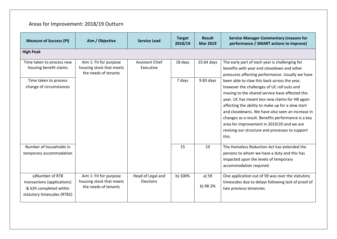# Areas for Improvement: 2018/19 Outturn

| <b>Measure of Success (PI)</b>                                                                          | Aim / Objective                                                            | <b>Service Lead</b>                 | <b>Target</b><br>2018/19 | <b>Result</b><br><b>Mar 2019</b> | <b>Service Manager Commentary (reasons for</b><br>performance / SMART actions to improve)                                                                                                                                                                                                                                                                                                                                                                                 |  |  |  |
|---------------------------------------------------------------------------------------------------------|----------------------------------------------------------------------------|-------------------------------------|--------------------------|----------------------------------|---------------------------------------------------------------------------------------------------------------------------------------------------------------------------------------------------------------------------------------------------------------------------------------------------------------------------------------------------------------------------------------------------------------------------------------------------------------------------|--|--|--|
| <b>High Peak</b>                                                                                        |                                                                            |                                     |                          |                                  |                                                                                                                                                                                                                                                                                                                                                                                                                                                                           |  |  |  |
| Time taken to process new<br>housing benefit claims                                                     | Aim 1: Fit for purpose<br>housing stock that meets<br>the needs of tenants | <b>Assistant Chief</b><br>Executive | 18 days                  | 25.64 days                       | The early part of each year is challenging for<br>benefits with year end closedown and other<br>pressures affecting performance. Usually we have                                                                                                                                                                                                                                                                                                                          |  |  |  |
| Time taken to process<br>change of circumstances                                                        |                                                                            |                                     | 7 days                   | $9.83$ days                      | been able to claw this back across the year,<br>however the challenges of UC roll outs and<br>moving to the shared service have affected this<br>year. UC has meant less new claims for HB again<br>affecting the ability to make up for a slow start<br>and closedowns. We have also seen an increase in<br>changes as a result. Benefits performance is a key<br>area for improvement in 2019/20 and we are<br>revising our structure and processes to support<br>this. |  |  |  |
| Number of households in<br>temporary accommodation                                                      |                                                                            |                                     | 15                       | 19                               | The Homeless Reduction Act has extended the<br>persons to whom we have a duty and this has<br>impacted upon the levels of temporary<br>accommodation required.                                                                                                                                                                                                                                                                                                            |  |  |  |
| a)Number of RTB<br>transactions (applications)<br>& b)% completed within<br>statutory timescales (RTB2) | Aim 1: Fit for purpose<br>housing stock that meets<br>the needs of tenants | Head of Legal and<br>Elections      | b) 100%                  | a) 59<br>b) 98.3%                | One application out of 59 was over the statutory<br>timescales due to delays following lack of proof of<br>two previous tenancies.                                                                                                                                                                                                                                                                                                                                        |  |  |  |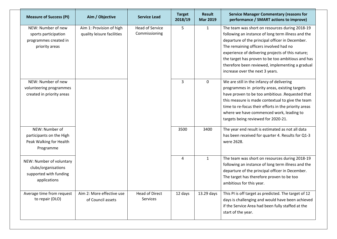| <b>Measure of Success (PI)</b>                                                            | Aim / Objective                                        | <b>Service Lead</b>                     | <b>Target</b><br>2018/19 | <b>Result</b><br><b>Mar 2019</b> | <b>Service Manager Commentary (reasons for</b><br>performance / SMART actions to improve)                                                                                                                                                                                                                                                                                                         |
|-------------------------------------------------------------------------------------------|--------------------------------------------------------|-----------------------------------------|--------------------------|----------------------------------|---------------------------------------------------------------------------------------------------------------------------------------------------------------------------------------------------------------------------------------------------------------------------------------------------------------------------------------------------------------------------------------------------|
| NEW: Number of new<br>sports participation<br>programmes created in<br>priority areas     | Aim 1: Provision of high<br>quality leisure facilities | <b>Head of Service</b><br>Commissioning | 5                        | $\mathbf{1}$                     | The team was short on resources during 2018-19<br>following an instance of long term illness and the<br>departure of the principal officer in December.<br>The remaining officers involved had no<br>experience of delivering projects of this nature;<br>the target has proven to be too ambitious and has<br>therefore been reviewed, implementing a gradual<br>increase over the next 3 years. |
| NEW: Number of new<br>volunteering programmes<br>created in priority areas                |                                                        |                                         | 3                        | $\mathbf 0$                      | We are still in the infancy of delivering<br>programmes in priority areas, existing targets<br>have proven to be too ambitious . Requested that<br>this measure is made contextual to give the team<br>time to re-focus their efforts in the priority areas<br>where we have commenced work, leading to<br>targets being reviewed for 2020-21.                                                    |
| NEW: Number of<br>participants on the High<br>Peak Walking for Health<br>Programme        |                                                        |                                         | 3500                     | 3400                             | The year end result is estimated as not all data<br>has been received for quarter 4. Results for Q1-3<br>were 2628.                                                                                                                                                                                                                                                                               |
| NEW: Number of voluntary<br>clubs/organisations<br>supported with funding<br>applications |                                                        |                                         | 4                        | $\mathbf{1}$                     | The team was short on resources during 2018-19<br>following an instance of long term illness and the<br>departure of the principal officer in December.<br>The target has therefore proven to be too<br>ambitious for this year.                                                                                                                                                                  |
| Average time from request<br>to repair (DLO)                                              | Aim 2: More effective use<br>of Council assets         | <b>Head of Direct</b><br>Services       | 12 days                  | 13.29 days                       | This PI is off target as predicted. The target of 12<br>days is challenging and would have been achieved<br>if the Service Area had been fully staffed at the<br>start of the year.                                                                                                                                                                                                               |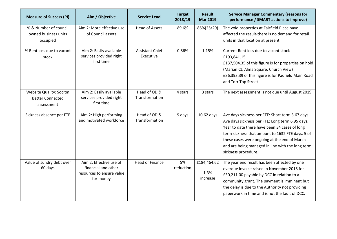| <b>Measure of Success (PI)</b>                                          | Aim / Objective                                                                          | <b>Service Lead</b>                 | <b>Target</b><br>2018/19 | <b>Result</b><br><b>Mar 2019</b> | <b>Service Manager Commentary (reasons for</b><br>performance / SMART actions to improve)                                                                                                                                                                                                                                           |
|-------------------------------------------------------------------------|------------------------------------------------------------------------------------------|-------------------------------------|--------------------------|----------------------------------|-------------------------------------------------------------------------------------------------------------------------------------------------------------------------------------------------------------------------------------------------------------------------------------------------------------------------------------|
| % & Number of council<br>owned business units<br>occupied               | Aim 2: More effective use<br>of Council assets                                           | <b>Head of Assets</b>               | 89.6%                    | 86%(25/29)                       | The void properties at Fairfield Place have<br>affected the result-there is no demand for retail<br>units in that location at present                                                                                                                                                                                               |
| % Rent loss due to vacant<br>stock                                      | Aim 2: Easily available<br>services provided right<br>first time                         | <b>Assistant Chief</b><br>Executive | 0.86%                    | 1.15%                            | Current Rent loss due to vacant stock -<br>£193,841.15<br>£137,504.35 of this figure is for properties on hold<br>(Marian Ct, Alma Square, Church View)<br>£36,393.39 of this figure is for Padfield Main Road<br>and Torr Top Street                                                                                               |
| <b>Website Quality: Socitm</b><br><b>Better Connected</b><br>assessment | Aim 2: Easily available<br>services provided right<br>first time                         | Head of OD &<br>Transformation      | 4 stars                  | 3 stars                          | The next assessment is not due until August 2019                                                                                                                                                                                                                                                                                    |
| Sickness absence per FTE                                                | Aim 2: High performing<br>and motivated workforce                                        | Head of OD &<br>Transformation      | 9 days                   | $10.62$ days                     | Ave days sickness per FTE: Short term 3.67 days.<br>Ave days sickness per FTE: Long term 6.95 days.<br>Year to date there have been 34 cases of long<br>term sickness that amount to 1632 FTE days. 5 of<br>these cases were ongoing at the end of March<br>and are being managed in line with the long term<br>sickness procedure. |
| Value of sundry debt over<br>60 days                                    | Aim 2: Effective use of<br>financial and other<br>resources to ensure value<br>for money | <b>Head of Finance</b>              | 5%<br>reduction          | £184,464.62<br>1.3%<br>increase  | The year end result has been affected by one<br>overdue invoice raised in November 2018 for<br>£30,211.00 payable by DCC in relation to a<br>community grant. The payment is imminent but<br>the delay is due to the Authority not providing<br>paperwork in time and is not the fault of DCC.                                      |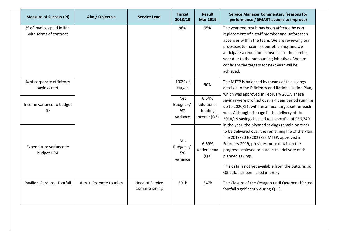| <b>Measure of Success (PI)</b>     | Aim / Objective        | <b>Service Lead</b>    | <b>Target</b><br>2018/19 | <b>Result</b><br><b>Mar 2019</b> | <b>Service Manager Commentary (reasons for</b><br>performance / SMART actions to improve) |
|------------------------------------|------------------------|------------------------|--------------------------|----------------------------------|-------------------------------------------------------------------------------------------|
| % of invoices paid in line         |                        |                        | 96%                      | 95%                              | The year end result has been affected by non-                                             |
| with terms of contract             |                        |                        |                          |                                  | replacement of a staff member and unforeseen                                              |
|                                    |                        |                        |                          |                                  | absences within the team. We are reviewing our                                            |
|                                    |                        |                        |                          |                                  | processes to maximise our efficiency and we                                               |
|                                    |                        |                        |                          |                                  | anticipate a reduction in invoices in the coming                                          |
|                                    |                        |                        |                          |                                  | year due to the outsourcing initiatives. We are                                           |
|                                    |                        |                        |                          |                                  | confident the targets for next year will be                                               |
|                                    |                        |                        |                          |                                  | achieved.                                                                                 |
| % of corporate efficiency          |                        |                        | 100% of                  |                                  | The MTFP is balanced by means of the savings                                              |
| savings met                        |                        |                        | target                   | 90%                              | detailed in the Efficiency and Rationalisation Plan,                                      |
|                                    |                        |                        |                          |                                  | which was approved in February 2017. These                                                |
|                                    |                        |                        | Net                      | 8.34%                            | savings were profiled over a 4 year period running                                        |
| Income variance to budget          |                        |                        | Budget $+/-$             | additional                       | up to 2020/21, with an annual target set for each                                         |
| GF                                 |                        |                        | 5%                       | funding                          | year. Although slippage in the delivery of the                                            |
|                                    |                        |                        | variance                 | income (Q3)                      | 2018/19 savings has led to a shortfall of £56,740                                         |
|                                    |                        |                        |                          |                                  | in the year; the planned savings remain on track                                          |
|                                    |                        |                        |                          |                                  | to be delivered over the remaining life of the Plan.                                      |
|                                    |                        |                        | Net                      |                                  | The 2019/20 to 2022/23 MTFP, approved in                                                  |
| Expenditure variance to            |                        |                        | Budget +/-               | 6.59%                            | February 2019, provides more detail on the                                                |
|                                    |                        |                        | 5%                       | underspend                       | progress achieved to date in the delivery of the                                          |
| budget HRA                         |                        |                        | variance                 | (Q3)                             | planned savings.                                                                          |
|                                    |                        |                        |                          |                                  |                                                                                           |
|                                    |                        |                        |                          |                                  | This data is not yet available from the outturn, so                                       |
|                                    |                        |                        |                          |                                  | Q3 data has been used in proxy.                                                           |
| <b>Pavilion Gardens - footfall</b> | Aim 3: Promote tourism | <b>Head of Service</b> | 601k                     | 547k                             | The Closure of the Octagon until October affected                                         |
|                                    |                        | Commissioning          |                          |                                  | footfall significantly during Q1-3.                                                       |
|                                    |                        |                        |                          |                                  |                                                                                           |
|                                    |                        |                        |                          |                                  |                                                                                           |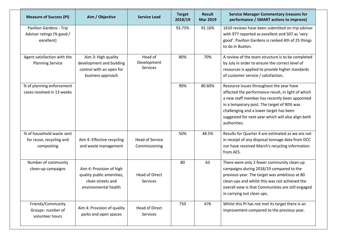| <b>Measure of Success (PI)</b>                                            | Aim / Objective                                                                                    | <b>Service Lead</b>                     | <b>Target</b><br>2018/19 | <b>Result</b><br><b>Mar 2019</b> | <b>Service Manager Commentary (reasons for</b><br>performance / SMART actions to improve)                                                                                                                                                                                                                       |
|---------------------------------------------------------------------------|----------------------------------------------------------------------------------------------------|-----------------------------------------|--------------------------|----------------------------------|-----------------------------------------------------------------------------------------------------------------------------------------------------------------------------------------------------------------------------------------------------------------------------------------------------------------|
| <b>Pavilion Gardens - Trip</b><br>Advisor ratings (% good /<br>excellent) |                                                                                                    |                                         | 93.75%                   | 92.16%                           | 1610 reviews have been submitted on trip advisor<br>with 977 reported as excellent and 507 as 'very<br>good'. Pavilion Gardens is ranked 4th of 25 things<br>to do in Buxton.                                                                                                                                   |
| Agent satisfaction with the<br><b>Planning Service</b>                    | Aim 3: High quality<br>development and building<br>control with an open for<br>business approach   | Head of<br>Development<br>Services      | 80%                      | 70%                              | A review of the team structure is to be completed<br>by July in order to ensure the correct level of<br>resources is applied to provide higher standards<br>of customer service / satisfaction.                                                                                                                 |
| % of planning enforcement<br>cases resolved in 13 weeks                   |                                                                                                    |                                         | 90%                      | 80.60%                           | Resource issues throughout the year have<br>affected the performance result, in light of which<br>a new staff member has recently been appointed<br>in a temporary post. The target of 90% was<br>challenging and a lower target has been<br>suggested for next year which will also align both<br>authorities. |
| % of household waste sent<br>for reuse, recycling and<br>composting       | Aim 4: Effective recycling<br>and waste management                                                 | <b>Head of Service</b><br>Commissioning | 50%                      | 48.5%                            | Results for Quarter 4 are estimated as we are not<br>in receipt of any disposal tonnage data from DCC<br>nor have received March's recycling information<br>from AES.                                                                                                                                           |
| Number of community<br>clean-up campaigns                                 | Aim 4: Provision of high<br>quality public amenities,<br>clean streets and<br>environmental health | <b>Head of Direct</b><br>Services       | 80                       | 63                               | There were only 2 fewer community clean-up<br>campaigns during 2018/19 compared to the<br>previous year. The target was ambitious at 80<br>clean-ups and whilst this was not achieved the<br>overall view is that Communities are still engaged<br>in carrying out clean ups.                                   |
| Friends/Community<br>Groups- number of<br>volunteer hours                 | Aim 4: Provision of quality<br>parks and open spaces                                               | Head of Direct<br><b>Services</b>       | 750                      | 676                              | Whilst this PI has not met its target there is an<br>improvement compared to the previous year.                                                                                                                                                                                                                 |